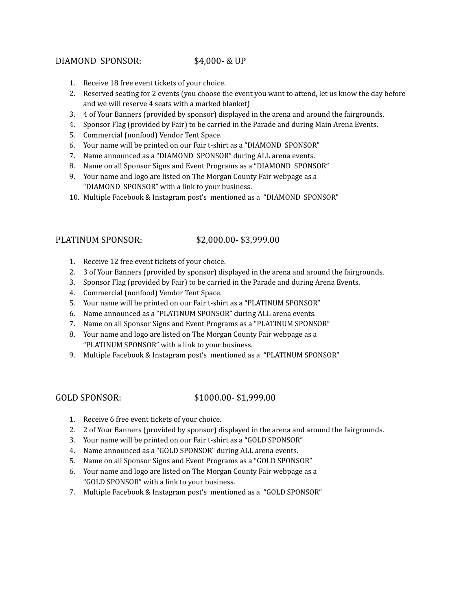# DIAMOND SPONSOR: \$4,000- & UP

- 1. Receive 18 free event tickets of your choice.
- 2. Reserved seating for 2 events (you choose the event you want to attend, let us know the day before and we will reserve 4 seats with a marked blanket)
- 3. 4 of Your Banners (provided by sponsor) displayed in the arena and around the fairgrounds.
- 4. Sponsor Flag (provided by Fair) to be carried in the Parade and during Main Arena Events.
- 5. Commercial (nonfood) Vendor Tent Space.
- 6. Your name will be printed on our Fair t-shirt as a "DIAMOND SPONSOR"
- 7. Name announced as a "DIAMOND SPONSOR" during ALL arena events.
- 8. Name on all Sponsor Signs and Event Programs as a "DIAMOND SPONSOR"
- 9. Your name and logo are listed on The Morgan County Fair webpage as a "DIAMOND SPONSOR" with a link to your business.
- 10. Multiple Facebook & Instagram post's mentioned as a "DIAMOND SPONSOR"

# PLATINUM SPONSOR: \$2,000.00- \$3,999.00

- 1. Receive 12 free event tickets of your choice.
- 2. 3 of Your Banners (provided by sponsor) displayed in the arena and around the fairgrounds.
- 3. Sponsor Flag (provided by Fair) to be carried in the Parade and during Arena Events.
- 4. Commercial (nonfood) Vendor Tent Space.
- 5. Your name will be printed on our Fair t-shirt as a "PLATINUM SPONSOR"
- 6. Name announced as a "PLATINUM SPONSOR" during ALL arena events.
- 7. Name on all Sponsor Signs and Event Programs as a "PLATINUM SPONSOR"
- 8. Your name and logo are listed on The Morgan County Fair webpage as a "PLATINUM SPONSOR" with a link to your business.
- 9. Multiple Facebook & Instagram post's mentioned as a "PLATINUM SPONSOR"

## GOLD SPONSOR: \$1000.00-\$1,999.00

- 1. Receive 6 free event tickets of your choice.
- 2. 2 of Your Banners (provided by sponsor) displayed in the arena and around the fairgrounds.
- 3. Your name will be printed on our Fair t-shirt as a "GOLD SPONSOR"
- 4. Name announced as a "GOLD SPONSOR" during ALL arena events.
- 5. Name on all Sponsor Signs and Event Programs as a "GOLD SPONSOR"
- 6. Your name and logo are listed on The Morgan County Fair webpage as a "GOLD SPONSOR" with a link to your business.
- 7. Multiple Facebook & Instagram post's mentioned as a "GOLD SPONSOR"